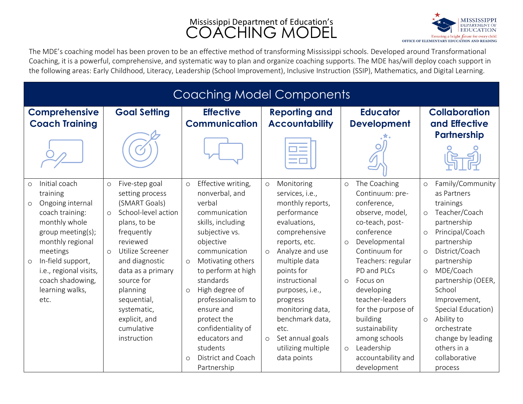## Mississippi Department of Education's **COACHING MODEL**



The MDE's coaching model has been proven to be an effective method of transforming Mississippi schools. Developed around Transformational Coaching, it is a powerful, comprehensive, and systematic way to plan and organize coaching supports. The MDE has/will deploy coach support in the following areas: Early Childhood, Literacy, Leadership (School Improvement), Inclusive Instruction (SSIP), Mathematics, and Digital Learning.

| <b>Coaching Model Components</b>                                                                                                                                                                                                                                      |                                                                                                                                                                                                                                                                                                                         |                                                                                                                                                                                                                                                                                                                                                                                                       |                                                                                                                                                                                                                                                                                                                                                               |                                                                                                                                                                                                                                                                                                                                                                                           |                                                                                                                                                                                                                                                                                                                                                                                                   |
|-----------------------------------------------------------------------------------------------------------------------------------------------------------------------------------------------------------------------------------------------------------------------|-------------------------------------------------------------------------------------------------------------------------------------------------------------------------------------------------------------------------------------------------------------------------------------------------------------------------|-------------------------------------------------------------------------------------------------------------------------------------------------------------------------------------------------------------------------------------------------------------------------------------------------------------------------------------------------------------------------------------------------------|---------------------------------------------------------------------------------------------------------------------------------------------------------------------------------------------------------------------------------------------------------------------------------------------------------------------------------------------------------------|-------------------------------------------------------------------------------------------------------------------------------------------------------------------------------------------------------------------------------------------------------------------------------------------------------------------------------------------------------------------------------------------|---------------------------------------------------------------------------------------------------------------------------------------------------------------------------------------------------------------------------------------------------------------------------------------------------------------------------------------------------------------------------------------------------|
| <b>Comprehensive</b><br><b>Coach Training</b>                                                                                                                                                                                                                         | <b>Goal Setting</b>                                                                                                                                                                                                                                                                                                     | <b>Effective</b><br><b>Communication</b>                                                                                                                                                                                                                                                                                                                                                              | <b>Reporting and</b><br><b>Accountability</b>                                                                                                                                                                                                                                                                                                                 | <b>Educator</b><br><b>Development</b>                                                                                                                                                                                                                                                                                                                                                     | <b>Collaboration</b><br>and Effective                                                                                                                                                                                                                                                                                                                                                             |
|                                                                                                                                                                                                                                                                       |                                                                                                                                                                                                                                                                                                                         |                                                                                                                                                                                                                                                                                                                                                                                                       |                                                                                                                                                                                                                                                                                                                                                               |                                                                                                                                                                                                                                                                                                                                                                                           | <b>Partnership</b>                                                                                                                                                                                                                                                                                                                                                                                |
| Initial coach<br>$\circ$<br>training<br>Ongoing internal<br>$\circ$<br>coach training:<br>monthly whole<br>group meeting(s);<br>monthly regional<br>meetings<br>In-field support,<br>$\circ$<br>i.e., regional visits,<br>coach shadowing,<br>learning walks,<br>etc. | Five-step goal<br>$\circ$<br>setting process<br>(SMART Goals)<br>School-level action<br>$\Omega$<br>plans, to be<br>frequently<br>reviewed<br>Utilize Screener<br>$\Omega$<br>and diagnostic<br>data as a primary<br>source for<br>planning<br>sequential,<br>systematic,<br>explicit, and<br>cumulative<br>instruction | Effective writing,<br>$\circ$<br>nonverbal, and<br>verbal<br>communication<br>skills, including<br>subjective vs.<br>objective<br>communication<br>Motivating others<br>$\circ$<br>to perform at high<br>standards<br>High degree of<br>$\circ$<br>professionalism to<br>ensure and<br>protect the<br>confidentiality of<br>educators and<br>students<br>District and Coach<br>$\circ$<br>Partnership | Monitoring<br>$\circ$<br>services, i.e.,<br>monthly reports,<br>performance<br>evaluations,<br>comprehensive<br>reports, etc.<br>Analyze and use<br>$\circ$<br>multiple data<br>points for<br>instructional<br>purposes, i.e.,<br>progress<br>monitoring data,<br>benchmark data,<br>etc.<br>Set annual goals<br>$\circ$<br>utilizing multiple<br>data points | The Coaching<br>$\circ$<br>Continuum: pre-<br>conference,<br>observe, model,<br>co-teach, post-<br>conference<br>Developmental<br>$\circ$<br>Continuum for<br>Teachers: regular<br>PD and PLCs<br>Focus on<br>$\circ$<br>developing<br>teacher-leaders<br>for the purpose of<br>building<br>sustainability<br>among schools<br>Leadership<br>$\circ$<br>accountability and<br>development | Family/Community<br>$\circ$<br>as Partners<br>trainings<br>Teacher/Coach<br>$\circ$<br>partnership<br>Principal/Coach<br>$\circ$<br>partnership<br>District/Coach<br>$\circ$<br>partnership<br>MDE/Coach<br>$\circ$<br>partnership (OEER,<br>School<br>Improvement,<br>Special Education)<br>Ability to<br>$\circ$<br>orchestrate<br>change by leading<br>others in a<br>collaborative<br>process |